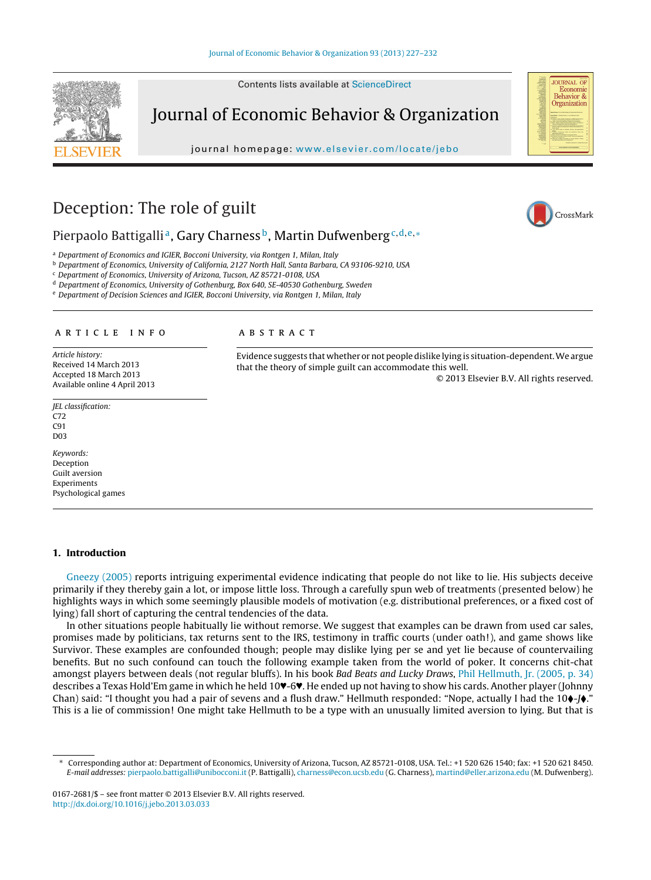Contents lists available at [ScienceDirect](http://www.sciencedirect.com/science/journal/01672681)



journal homepage: [www.elsevier.com/locate/jebo](http://www.elsevier.com/locate/jebo)





CrossMark

**JOURNAL OF** Economic<br>Behavior & Organization

## Deception: The role of guilt

### Pierpaolo Battigalli<sup>a</sup>, Gary Charness<sup>b</sup>, Martin Dufwenberg<sup>c, d, e,∗</sup>

a Department of Economics and IGIER, Bocconi University, via Rontgen 1, Milan, Italy

<sup>b</sup> Department of Economics, University of California, 2127 North Hall, Santa Barbara, CA 93106-9210, USA

<sup>c</sup> Department of Economics, University of Arizona, Tucson, AZ 85721-0108, USA

<sup>d</sup> Department of Economics, University of Gothenburg, Box 640, SE-40530 Gothenburg, Sweden

<sup>e</sup> Department of Decision Sciences and IGIER, Bocconi University, via Rontgen 1, Milan, Italy

#### a r t i c l e i n f o

Article history: Received 14 March 2013 Accepted 18 March 2013 Available online 4 April 2013

JEL classification: C<sub>72</sub> C91 D03

Keywords: Deception Guilt aversion Experiments Psychological games

# A B S T R A C T

Evidence suggests that whether or not people dislike lying is situation-dependent.We argue that the theory of simple guilt can accommodate this well.

© 2013 Elsevier B.V. All rights reserved.

#### **1. Introduction**

[Gneezy](#page--1-0) [\(2005\)](#page--1-0) reports intriguing experimental evidence indicating that people do not like to lie. His subjects deceive primarily if they thereby gain a lot, or impose little loss. Through a carefully spun web of treatments (presented below) he highlights ways in which some seemingly plausible models of motivation (e.g. distributional preferences, or a fixed cost of lying) fall short of capturing the central tendencies of the data.

In other situations people habitually lie without remorse. We suggest that examples can be drawn from used car sales, promises made by politicians, tax returns sent to the IRS, testimony in traffic courts (under oath!), and game shows like Survivor. These examples are confounded though; people may dislike lying per se and yet lie because of countervailing benefits. But no such confound can touch the following example taken from the world of poker. It concerns chit-chat amongst players between deals (not regular bluffs). In his book Bad Beats and Lucky Draws, [Phil](#page--1-0) [Hellmuth,](#page--1-0) [Jr.](#page--1-0) [\(2005,](#page--1-0) [p.](#page--1-0) [34\)](#page--1-0) describes a Texas Hold'Em game in which he held 10♥-6♥. He ended up not having to show his cards. Another player (Johnny Chan) said: "I thought you had a pair of sevens and a flush draw." Hellmuth responded: "Nope, actually I had the 10 $\blacklozenge$ -7 $\blacklozenge$ ." This is a lie of commission! One might take Hellmuth to be a type with an unusually limited aversion to lying. But that is

<sup>∗</sup> Corresponding author at: Department of Economics, University of Arizona, Tucson, AZ 85721-0108, USA. Tel.: +1 520 626 1540; fax: +1 520 621 8450. E-mail addresses: [pierpaolo.battigalli@unibocconi.it](mailto:pierpaolo.battigalli@unibocconi.it) (P. Battigalli), [charness@econ.ucsb.edu](mailto:charness@econ.ucsb.edu) (G. Charness), [martind@eller.arizona.edu](mailto:martind@eller.arizona.edu) (M. Dufwenberg).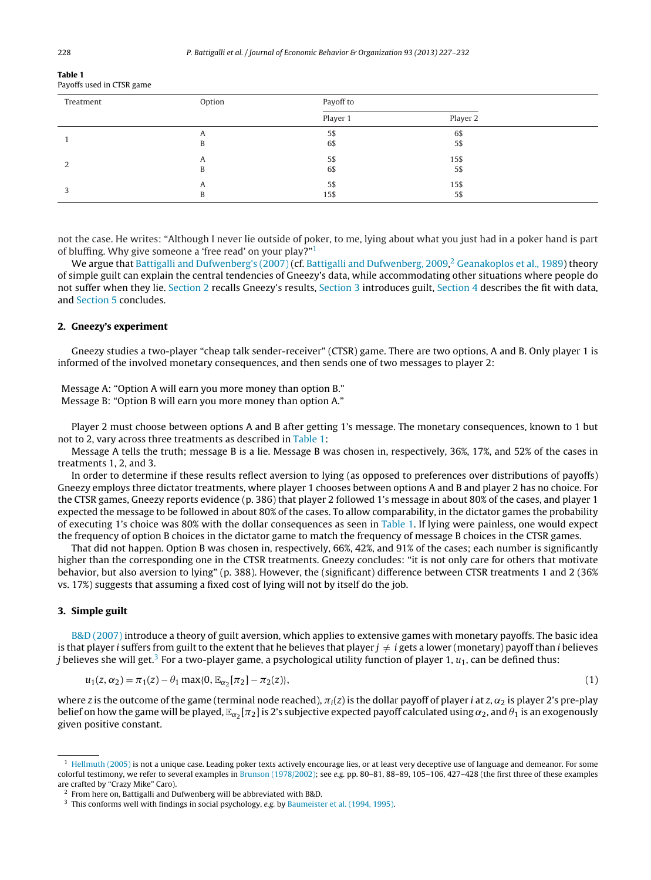| <b>Table 1</b>            |  |
|---------------------------|--|
| Payoffs used in CTSR game |  |

| Treatment | Option | Payoff to |          |  |  |  |
|-----------|--------|-----------|----------|--|--|--|
|           |        | Player 1  | Player 2 |  |  |  |
|           | A      | 5\$       | 6\$      |  |  |  |
|           | B      | 6\$       | 5\$      |  |  |  |
|           | A      | 5\$       | 15\$     |  |  |  |
|           | B      | 6\$       | 5\$      |  |  |  |
|           | A      | 5\$       | 15\$     |  |  |  |
|           |        | 15\$      | 5\$      |  |  |  |

not the case. He writes: "Although I never lie outside of poker, to me, lying about what you just had in a poker hand is part of bluffing. Why give someone a 'free read' on your play?"1

We argue that [Battigalli](#page--1-0) [and](#page--1-0) [Dufwenberg's](#page--1-0) [\(2007\)](#page--1-0) (cf. [Battigalli](#page--1-0) [and](#page--1-0) [Dufwenberg,](#page--1-0) [2009,](#page--1-0) <sup>2</sup> [Geanakoplos](#page--1-0) et [al.,](#page--1-0) [1989\)](#page--1-0) theory of simple guilt can explain the central tendencies of Gneezy's data, while accommodating other situations where people do not suffer when they lie. Section 2 recalls Gneezy's results, Section 3 introduces guilt, [Section](#page--1-0) [4](#page--1-0) describes the fit with data, and [Section](#page--1-0) [5](#page--1-0) concludes.

#### **2. Gneezy's experiment**

Gneezy studies a two-player "cheap talk sender-receiver" (CTSR) game. There are two options, A and B. Only player 1 is informed of the involved monetary consequences, and then sends one of two messages to player 2:

Message A: "Option A will earn you more money than option B." Message B: "Option B will earn you more money than option A."

Player 2 must choose between options A and B after getting 1's message. The monetary consequences, known to 1 but not to 2, vary across three treatments as described in Table 1:

Message A tells the truth; message B is a lie. Message B was chosen in, respectively, 36%, 17%, and 52% of the cases in treatments 1, 2, and 3.

In order to determine if these results reflect aversion to lying (as opposed to preferences over distributions of payoffs) Gneezy employs three dictator treatments, where player 1 chooses between options A and B and player 2 has no choice. For the CTSR games, Gneezy reports evidence (p. 386) that player 2 followed 1's message in about 80% of the cases, and player 1 expected the message to be followed in about 80% of the cases. To allow comparability, in the dictator games the probability of executing 1's choice was 80% with the dollar consequences as seen in Table 1. If lying were painless, one would expect the frequency of option B choices in the dictator game to match the frequency of message B choices in the CTSR games.

That did not happen. Option B was chosen in, respectively, 66%, 42%, and 91% of the cases; each number is significantly higher than the corresponding one in the CTSR treatments. Gneezy concludes: "it is not only care for others that motivate behavior, but also aversion to lying" (p. 388). However, the (significant) difference between CTSR treatments 1 and 2 (36% vs. 17%) suggests that assuming a fixed cost of lying will not by itself do the job.

#### **3. Simple guilt**

[B&D](#page--1-0) [\(2007\)](#page--1-0) introduce a theory of guilt aversion, which applies to extensive games with monetary payoffs. The basic idea is that player i suffers from guilt to the extent that he believes that player  $j \neq i$  gets a lower (monetary) payoff than i believes *j* believes she will get.<sup>3</sup> For a two-player game, a psychological utility function of player 1,  $u_1$ , can be defined thus:

$$
u_1(z, \alpha_2) = \pi_1(z) - \theta_1 \max\{0, \mathbb{E}_{\alpha_2}[\pi_2] - \pi_2(z)\},\tag{1}
$$

where z is the outcome of the game (terminal node reached),  $\pi_i(z)$  is the dollar payoff of player  $i$  at  $z$ ,  $\alpha_2$  is player 2's pre-play belief on how the game will be played,  $\mathbb{E}_{\alpha_2}[\pi_2]$  is 2's subjective expected payoff calculated using  $\alpha_2$ , and  $\theta_1$  is an exogenously given positive constant.

 $<sup>1</sup>$  [Hellmuth](#page--1-0) [\(2005\)](#page--1-0) is not a unique case. Leading poker texts actively encourage lies, or at least very deceptive use of language and demeanor. For some</sup> colorful testimony, we refer to several examples in [Brunson](#page--1-0) [\(1978/2002\);](#page--1-0) see e.g. pp. 80–81, 88–89, 105–106, 427–428 (the first three of these examples are crafted by "Crazy Mike" Caro).

<sup>2</sup> From here on, Battigalli and Dufwenberg will be abbreviated with B&D.

<sup>&</sup>lt;sup>3</sup> This conforms well with findings in social psychology, e.g. by [Baumeister](#page--1-0) et [al.](#page--1-0) [\(1994,](#page--1-0) [1995\).](#page--1-0)